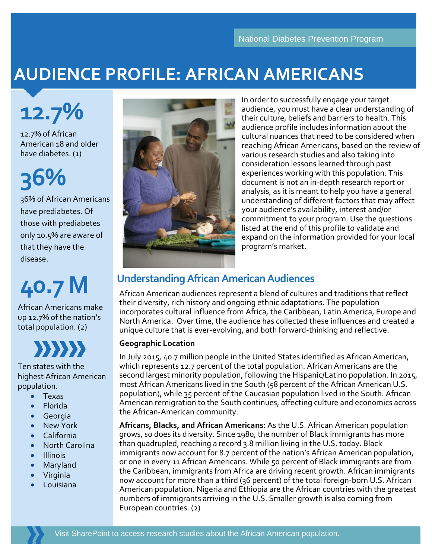## **AUDIENCE PROFILE: AFRICAN AMERICANS**

**12.7%**

12.7% of African American 18 and older have diabetes. (1)

# **36%**

36% of African Americans have prediabetes. Of those with prediabetes only 10.5% are aware of that they have the disease.

## **40.7 M**

African Americans make up 12.7% of the nation's total population. (2)



Ten states with the highest African American population.

- Texas
- Florida
- Georgia
- New York
- California
- North Carolina
- Illinois
- Maryland
- Virginia
- **Louisiana**



In order to successfully engage your target audience, you must have a clear understanding of their culture, beliefs and barriers to health. This audience profile includes information about the cultural nuances that need to be considered when reaching African Americans, based on the review of various research studies and also taking into consideration lessons learned through past experiences working with this population. This document is not an in-depth research report or analysis, as it is meant to help you have a general understanding of different factors that may affect your audience's availability, interest and/or commitment to your program. Use the questions listed at the end of this profile to validate and expand on the information provided for your local program's market.

## **Understanding African American Audiences**

African American audiences represent a blend of cultures and traditions that reflect their diversity, rich history and ongoing ethnic adaptations. The population incorporates cultural influence from Africa, the Caribbean, Latin America, Europe and North America. Over time, the audience has collected these influences and created a unique culture that is ever-evolving, and both forward-thinking and reflective.

#### **Geographic Location**

In July 2015, 40.7 million people in the United States identified as African American, which represents 12.7 percent of the total population. African Americans are the second largest minority population, following the Hispanic/Latino population. In 2015, most African Americans lived in the South (58 percent of the African American U.S. population), while 35 percent of the Caucasian population lived in the South. African American remigration to the South continues, affecting culture and economics across the African-American community.

**Africans, Blacks, and African Americans:** As the U.S. African American population grows, so does its diversity. Since 1980, the number of Black immigrants has more than quadrupled, reaching a record 3.8 million living in the U.S. today. Black immigrants now account for 8.7 percent of the nation's African American population, or one in every 11 African Americans. While 50 percent of Black immigrants are from the Caribbean, immigrants from Africa are driving recent growth. African immigrants now account for more than a third (36 percent) of the total foreign-born U.S. African American population. Nigeria and Ethiopia are the African countries with the greatest numbers of immigrants arriving in the U.S. Smaller growth is also coming from European countries. (2)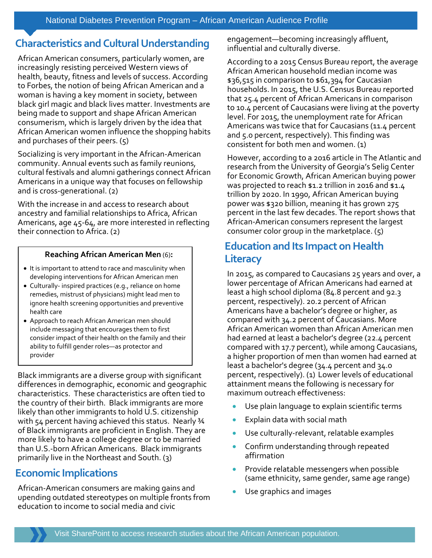## **Characteristics and Cultural Understanding**

African American consumers, particularly women, are increasingly resisting perceived Western views of health, beauty, fitness and levels of success. According to Forbes, the notion of being African American and a woman is having a key moment in society, between black girl magic and black lives matter. Investments are being made to support and shape African American consumerism, which is largely driven by the idea that African American women influence the shopping habits and purchases of their peers. (5)

Socializing is very important in the African-American community. Annual events such as family reunions, cultural festivals and alumni gatherings connect African Americans in a unique way that focuses on fellowship and is cross-generational. (2)

With the increase in and access to research about ancestry and familial relationships to Africa, African Americans, age 45-64, are more interested in reflecting their connection to Africa. (2)

#### **Reaching African American Men** (6)**:**

- It is important to attend to race and masculinity when developing interventions for African American men
- Culturally- inspired practices (e.g., reliance on home remedies, mistrust of physicians) might lead men to ignore health screening opportunities and preventive health care
- Approach to reach African American men should include messaging that encourages them to first consider impact of their health on the family and their ability to fulfill gender roles—as protector and provider

Black immigrants are a diverse group with significant differences in demographic, economic and geographic characteristics. These characteristics are often tied to the country of their birth. Black immigrants are more likely than other immigrants to hold U.S. citizenship with 54 percent having achieved this status. Nearly 34 of Black immigrants are proficient in English. They are more likely to have a college degree or to be married than U.S.-born African Americans. Black immigrants primarily live in the Northeast and South. (3)

## **Economic Implications**

African-American consumers are making gains and upending outdated stereotypes on multiple fronts from education to income to social media and civic

engagement—becoming increasingly affluent, influential and culturally diverse.

According to a 2015 Census Bureau report, the average African American household median income was \$36,515 in comparison to \$61,394 for Caucasian households. In 2015, the U.S. Census Bureau reported that 25.4 percent of African Americans in comparison to 10.4 percent of Caucasians were living at the poverty level. For 2015, the unemployment rate for African Americans was twice that for Caucasians (11.4 percent and 5.0 percent, respectively). This finding was consistent for both men and women. (1)

However, according to a 2016 article in The Atlantic and research from the University of Georgia's Selig Center for Economic Growth, African American buying power was projected to reach \$1.2 trillion in 2016 and \$1.4 trillion by 2020. In 1990, African American buying power was \$320 billion, meaning it has grown 275 percent in the last few decades. The report shows that African-American consumers represent the largest consumer color group in the marketplace.  $(5)$ 

## **Education and Its Impact on Health Literacy**

In 2015, as compared to Caucasians 25 years and over, a lower percentage of African Americans had earned at least a high school diploma (84.8 percent and 92.3 percent, respectively). 20.2 percent of African Americans have a bachelor's degree or higher, as compared with 34.2 percent of Caucasians. More African American women than African American men had earned at least a bachelor's degree (22.4 percent compared with 17.7 percent), while among Caucasians, a higher proportion of men than women had earned at least a bachelor's degree (34.4 percent and 34.0 percent, respectively). (1) Lower levels of educational attainment means the following is necessary for maximum outreach effectiveness:

- Use plain language to explain scientific terms
- Explain data with social math
- Use culturally-relevant, relatable examples
- Confirm understanding through repeated affirmation
- Provide relatable messengers when possible (same ethnicity, same gender, same age range)
- Use graphics and images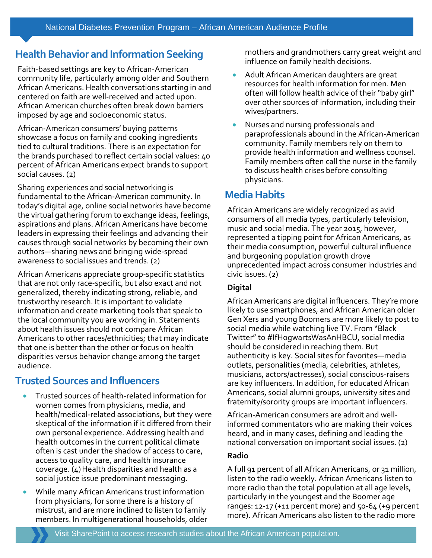## **Health Behavior and Information Seeking**

Faith-based settings are key to African-American community life, particularly among older and Southern African Americans. Health conversations starting in and centered on faith are well-received and acted upon. African American churches often break down barriers imposed by age and socioeconomic status.

African-American consumers' buying patterns showcase a focus on family and cooking ingredients tied to cultural traditions. There is an expectation for the brands purchased to reflect certain social values: 40 percent of African Americans expect brands to support social causes. (2)

Sharing experiences and social networking is fundamental to the African-American community. In today's digital age, online social networks have become the virtual gathering forum to exchange ideas, feelings, aspirations and plans. African Americans have become leaders in expressing their feelings and advancing their causes through social networks by becoming their own authors—sharing news and bringing wide-spread awareness to social issues and trends. (2)

African Americans appreciate group-specific statistics that are not only race-specific, but also exact and not generalized, thereby indicating strong, reliable, and trustworthy research. It is important to validate information and create marketing tools that speak to the local community you are working in. Statements about health issues should not compare African Americans to other races/ethnicities; that may indicate that one is better than the other or focus on health disparities versus behavior change among the target audience.

## **Trusted Sources and Influencers**

- Trusted sources of health-related information for women comes from physicians, media, and health/medical-related associations, but they were skeptical of the information if it differed from their own personal experience. Addressing health and health outcomes in the current political climate often is cast under the shadow of access to care, access to quality care, and health insurance coverage.  $(4)$  Health disparities and health as a social justice issue predominant messaging.
- While many African Americans trust information from physicians, for some there is a history of mistrust, and are more inclined to listen to family members. In multigenerational households, older

mothers and grandmothers carry great weight and influence on family health decisions.

- Adult African American daughters are great resources for health information for men. Men often will follow health advice of their "baby girl" over other sources of information, including their wives/partners.
- Nurses and nursing professionals and paraprofessionals abound in the African-American community. Family members rely on them to provide health information and wellness counsel. Family members often call the nurse in the family to discuss health crises before consulting physicians.

## **Media Habits**

African Americans are widely recognized as avid consumers of all media types, particularly television, music and social media. The year 2015, however, represented a tipping point for African Americans, as their media consumption, powerful cultural influence and burgeoning population growth drove unprecedented impact across consumer industries and civic issues. (2)

#### **Digital**

African Americans are digital influencers. They're more likely to use smartphones, and African American older Gen Xers and young Boomers are more likely to post to social media while watching live TV. From "Black Twitter" to #IfHogwartsWasAnHBCU, social media should be considered in reaching them. But authenticity is key. Social sites for favorites—media outlets, personalities (media, celebrities, athletes, musicians, actors/actresses), social conscious-raisers are key influencers. In addition, for educated African Americans, social alumni groups, university sites and fraternity/sorority groups are important influencers.

African-American consumers are adroit and wellinformed commentators who are making their voices heard, and in many cases, defining and leading the national conversation on important social issues. (2)

#### **Radio**

A full 91 percent of all African Americans, or 31 million, listen to the radio weekly. African Americans listen to more radio than the total population at all age levels, particularly in the youngest and the Boomer age ranges: 12-17 (+11 percent more) and  $50-64$  (+9 percent more). African Americans also listen to the radio more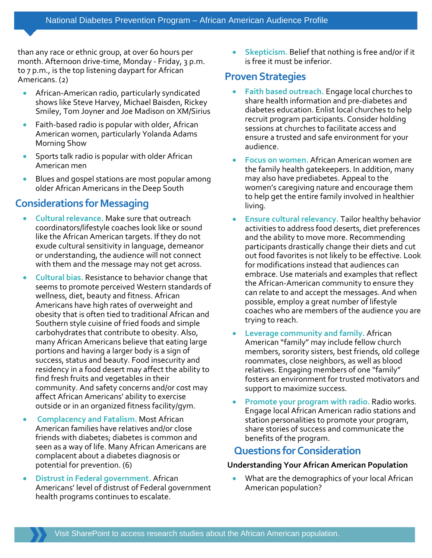than any race or ethnic group, at over 60 hours per month. Afternoon drive-time, Monday - Friday, 3 p.m. to 7 p.m., is the top listening daypart for African Americans. (2)

- African-American radio, particularly syndicated shows like Steve Harvey, Michael Baisden, Rickey Smiley, Tom Joyner and Joe Madison on XM/Sirius
- Faith-based radio is popular with older, African American women, particularly Yolanda Adams Morning Show
- Sports talk radio is popular with older African American men
- Blues and gospel stations are most popular among older African Americans in the Deep South

## **Considerations for Messaging**

- **Cultural relevance.** Make sure that outreach coordinators/lifestyle coaches look like or sound like the African American targets. If they do not exude cultural sensitivity in language, demeanor or understanding, the audience will not connect with them and the message may not get across.
- **Cultural bias.** Resistance to behavior change that seems to promote perceived Western standards of wellness, diet, beauty and fitness. African Americans have high rates of overweight and obesity that is often tied to traditional African and Southern style cuisine of fried foods and simple carbohydrates that contribute to obesity. Also, many African Americans believe that eating large portions and having a larger body is a sign of success, status and beauty. Food insecurity and residency in a food desert may affect the ability to find fresh fruits and vegetables in their community. And safety concerns and/or cost may affect African Americans' ability to exercise outside or in an organized fitness facility/gym.
- **Complacency and Fatalism.** Most African American families have relatives and/or close friends with diabetes; diabetes is common and seen as a way of life. Many African Americans are complacent about a diabetes diagnosis or potential for prevention. (6)
- **Distrust in Federal government.** African Americans' level of distrust of Federal government health programs continues to escalate.

• **Skepticism.** Belief that nothing is free and/or if it is free it must be inferior.

## **Proven Strategies**

- **Faith based outreach.** Engage local churches to share health information and pre-diabetes and diabetes education. Enlist local churches to help recruit program participants. Consider holding sessions at churches to facilitate access and ensure a trusted and safe environment for your audience.
- **Focus on women.** African American women are the family health gatekeepers. In addition, many may also have prediabetes. Appeal to the women's caregiving nature and encourage them to help get the entire family involved in healthier living.
- **Ensure cultural relevancy.** Tailor healthy behavior activities to address food deserts, diet preferences and the ability to move more. Recommending participants drastically change their diets and cut out food favorites is not likely to be effective. Look for modifications instead that audiences can embrace. Use materials and examples that reflect the African-American community to ensure they can relate to and accept the messages. And when possible, employ a great number of lifestyle coaches who are members of the audience you are trying to reach.
- **Leverage community and family.** African American "family" may include fellow church members, sorority sisters, best friends, old college roommates, close neighbors, as well as blood relatives. Engaging members of one "family" fosters an environment for trusted motivators and support to maximize success.
- **Promote your program with radio.** Radio works. Engage local African American radio stations and station personalities to promote your program, share stories of success and communicate the benefits of the program.

## **Questions for Consideration**

#### **Understanding Your African American Population**

• What are the demographics of your local African American population?